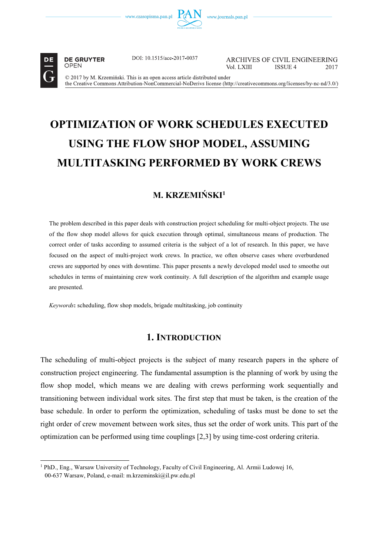



 $\overline{a}$ 

**DE GRUYTER** OPEN

DOI: 10.1515/ace-2017-0037

ARCHIVES OF CIVIL ENGINEERING Vol LXIII ISSUE 4 2017

© 2017 by M. Krzemiński. This is an open access article distributed under the Creative Commons Attribution-NonCommercial-NoDerivs license (http://creativecommons.org/licenses/by-nc-nd/3.0/)

# **OPTIMIZATION OF WORK SCHEDULES EXECUTED USING THE FLOW SHOP MODEL, ASSUMING MULTITASKING PERFORMED BY WORK CREWS**

# **M. KRZEMIŃSKI1**

The problem described in this paper deals with construction project scheduling for multi-object projects. The use of the flow shop model allows for quick execution through optimal, simultaneous means of production. The correct order of tasks according to assumed criteria is the subject of a lot of research. In this paper, we have focused on the aspect of multi-project work crews. In practice, we often observe cases where overburdened crews are supported by ones with downtime. This paper presents a newly developed model used to smoothe out schedules in terms of maintaining crew work continuity. A full description of the algorithm and example usage are presented.

*Keywords***:** scheduling, flow shop models, brigade multitasking, job continuity

# **1. INTRODUCTION**

The scheduling of multi-object projects is the subject of many research papers in the sphere of construction project engineering. The fundamental assumption is the planning of work by using the flow shop model, which means we are dealing with crews performing work sequentially and transitioning between individual work sites. The first step that must be taken, is the creation of the base schedule. In order to perform the optimization, scheduling of tasks must be done to set the right order of crew movement between work sites, thus set the order of work units. This part of the optimization can be performed using time couplings [2,3] by using time-cost ordering criteria.

<sup>&</sup>lt;sup>1</sup> PhD., Eng., Warsaw University of Technology, Faculty of Civil Engineering, Al. Armii Ludowej 16, 00-637 Warsaw, Poland, e-mail: m.krzeminski@il.pw.edu.pl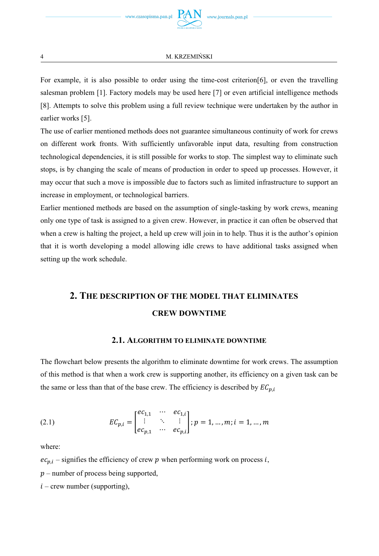For example, it is also possible to order using the time-cost criterion[6], or even the travelling salesman problem [1]. Factory models may be used here [7] or even artificial intelligence methods [8]. Attempts to solve this problem using a full review technique were undertaken by the author in earlier works [5].

The use of earlier mentioned methods does not guarantee simultaneous continuity of work for crews on different work fronts. With sufficiently unfavorable input data, resulting from construction technological dependencies, it is still possible for works to stop. The simplest way to eliminate such stops, is by changing the scale of means of production in order to speed up processes. However, it may occur that such a move is impossible due to factors such as limited infrastructure to support an increase in employment, or technological barriers.

Earlier mentioned methods are based on the assumption of single-tasking by work crews, meaning only one type of task is assigned to a given crew. However, in practice it can often be observed that when a crew is halting the project, a held up crew will join in to help. Thus it is the author's opinion that it is worth developing a model allowing idle crews to have additional tasks assigned when setting up the work schedule.

# **2. THE DESCRIPTION OF THE MODEL THAT ELIMINATES CREW DOWNTIME**

### **2.1. ALGORITHM TO ELIMINATE DOWNTIME**

The flowchart below presents the algorithm to eliminate downtime for work crews. The assumption of this method is that when a work crew is supporting another, its efficiency on a given task can be the same or less than that of the base crew. The efficiency is described by  $EC_{p,i}$ 

(2.1) 
$$
EC_{p,i} = \begin{bmatrix} ec_{1,1} & \cdots & ec_{1,i} \\ \vdots & \ddots & \vdots \\ ec_{p,1} & \cdots & ec_{p,i} \end{bmatrix}; p = 1, ..., m; i = 1, ..., m
$$

where:

 $ec_{p,i}$  – signifies the efficiency of crew p when performing work on process *i*,

 $p$  – number of process being supported,

 $i$  – crew number (supporting),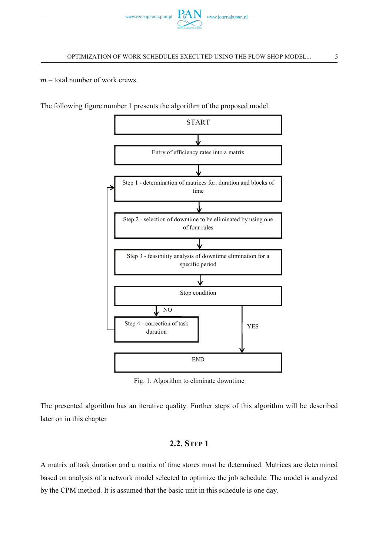

 $m$  – total number of work crews.

The following figure number 1 presents the algorithm of the proposed model.



Fig. 1. Algorithm to eliminate downtime

The presented algorithm has an iterative quality. Further steps of this algorithm will be described later on in this chapter

### **2.2. STEP 1**

A matrix of task duration and a matrix of time stores must be determined. Matrices are determined based on analysis of a network model selected to optimize the job schedule. The model is analyzed by the CPM method. It is assumed that the basic unit in this schedule is one day.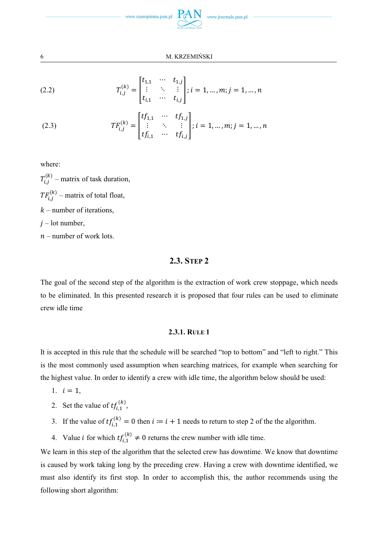

(2.2) 
$$
T_{i,j}^{(k)} = \begin{bmatrix} t_{1,1} & \cdots & t_{1,j} \\ \vdots & \ddots & \vdots \\ t_{i,1} & \cdots & t_{i,j} \end{bmatrix}; i = 1, ..., m; j = 1, ..., n
$$

(2.3) 
$$
TF_{i,j}^{(k)} = \begin{bmatrix} tf_{1,1} & \cdots & tf_{1,j} \\ \vdots & \ddots & \vdots \\ tf_{i,1} & \cdots & tf_{i,j} \end{bmatrix}; i = 1, ..., m; j = 1, ..., n
$$

where:

 $T_{i,j}^{(k)}$  – matrix of task duration,  $TF_{i,j}^{(k)}$  – matrix of total float,  $k$  – number of iterations,  $j$  – lot number,  $n$  – number of work lots.

### **2.3. STEP 2**

The goal of the second step of the algorithm is the extraction of work crew stoppage, which needs to be eliminated. In this presented research it is proposed that four rules can be used to eliminate crew idle time

#### **2.3.1. RULE 1**

It is accepted in this rule that the schedule will be searched "top to bottom" and "left to right." This is the most commonly used assumption when searching matrices, for example when searching for the highest value. In order to identify a crew with idle time, the algorithm below should be used:

- 1.  $i = 1$ ,
- 2. Set the value of  $tf_{i,1}^{(k)}$ ,
- 3. If the value of  $tf_{i,1}^{(k)} = 0$  then  $i := i + 1$  needs to return to step 2 of the the algorithm.
- 4. Value *i* for which  $tf_{i,1}^{(k)} \neq 0$  returns the crew number with idle time.

We learn in this step of the algorithm that the selected crew has downtime. We know that downtime is caused by work taking long by the preceding crew. Having a crew with downtime identified, we must also identify its first stop. In order to accomplish this, the author recommends using the following short algorithm: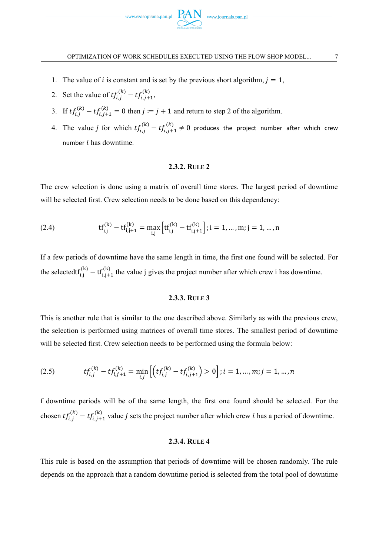

- 1. The value of *i* is constant and is set by the previous short algorithm,  $j = 1$ ,
- 2. Set the value of  $tf_{i,j}^{(k)} tf_{i,j+1}^{(k)}$ ,
- 3. If  $tf_{i,j}^{(k)} tf_{i,j+1}^{(k)} = 0$  then  $j := j + 1$  and return to step 2 of the algorithm.
- 4. The value *j* for which  $tf_{i,j}^{(k)} tf_{i,j+1}^{(k)} \neq 0$  produces the project number after which crew number  $i$  has downtime.

#### **2.3.2. RULE 2**

The crew selection is done using a matrix of overall time stores. The largest period of downtime will be selected first. Crew selection needs to be done based on this dependency:

(2.4) 
$$
tf_{i,j}^{(k)} - tf_{i,j+1}^{(k)} = \max_{i,j} \left[ tf_{i,j}^{(k)} - tf_{i,j+1}^{(k)} \right]; i = 1, ..., m; j = 1, ..., n
$$

If a few periods of downtime have the same length in time, the first one found will be selected. For the selectedtf<sup>(k)</sup> – tf<sub>i,j+1</sub> the value j gives the project number after which crew i has downtime.

#### **2.3.3. RULE 3**

This is another rule that is similar to the one described above. Similarly as with the previous crew, the selection is performed using matrices of overall time stores. The smallest period of downtime will be selected first. Crew selection needs to be performed using the formula below:

$$
(2.5) \t\t\t\t\t\t\ttf_{i,j}^{(k)} - tf_{i,j+1}^{(k)} = \min_{i,j} \left[ \left( tf_{i,j}^{(k)} - tf_{i,j+1}^{(k)} \right) > 0 \right]; i = 1, \ldots, m; j = 1, \ldots, n
$$

f downtime periods will be of the same length, the first one found should be selected. For the chosen  $tf_{i,j}^{(k)} - tf_{i,j+1}^{(k)}$  value *j* sets the project number after which crew *i* has a period of downtime.

#### **2.3.4. RULE 4**

This rule is based on the assumption that periods of downtime will be chosen randomly. The rule depends on the approach that a random downtime period is selected from the total pool of downtime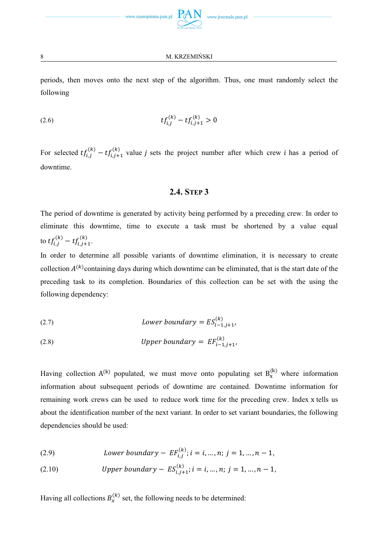periods, then moves onto the next step of the algorithm. Thus, one must randomly select the following

ǡ݂ݐ (2.6) ሺሻ െ ݐ݂ǡାଵ ሺሻ Ͳ

For selected  $tf_{i,j}^{(k)} - tf_{i,j+1}^{(k)}$  value j sets the project number after which crew *i* has a period of downtime.

# **2.4. STEP 3**

The period of downtime is generated by activity being performed by a preceding crew. In order to eliminate this downtime, time to execute a task must be shortened by a value equal to  $tf_{i,j}^{(k)} - tf_{i,j+1}^{(k)}$ .

In order to determine all possible variants of downtime elimination, it is necessary to create collection  $A^{(k)}$ containing days during which downtime can be eliminated, that is the start date of the preceding task to its completion. Boundaries of this collection can be set with the using the following dependency:

(2.7) 
$$
Lower boundary = ES_{i-1,j+1}^{(k)},
$$

(2.8) *Upper boundary* = 
$$
EF_{i-1,j+1}^{(k)}
$$

Having collection  $A^{(k)}$  populated, we must move onto populating set  $B_x^{(k)}$  where information information about subsequent periods of downtime are contained. Downtime information for remaining work crews can be used to reduce work time for the preceding crew. Index tells us about the identification number of the next variant. In order to set variant boundaries, the following dependencies should be used:

(2.9) *Lower boundary – EF*<sub>i,j</sub><sup>(k)</sup>; 
$$
i = i, ..., n; j = 1, ..., n - 1
$$
,

(2.10) *Upper boundary* – 
$$
ES_{i,j+1}^{(k)}
$$
;  $i = i, ..., n; j = 1, ..., n-1$ ,

Having all collections  $B_x^{(k)}$  set, the following needs to be determined: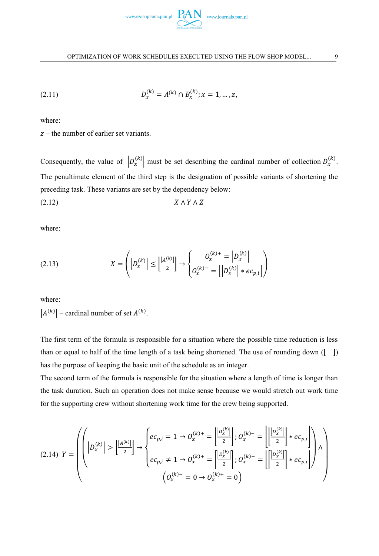

(2.11) 
$$
D_x^{(k)} = A^{(k)} \cap B_x^{(k)}; x = 1, ..., z,
$$

where:

 $z$  – the number of earlier set variants.

Consequently, the value of  $\left| D_x^{(k)} \right|$  must be set describing the cardinal number of collection  $D_x^{(k)}$ . The penultimate element of the third step is the designation of possible variants of shortening the preceding task. These variants are set by the dependency below:  $(X \wedge Y \wedge Z)$ 

where:

(2.13) 
$$
X = \left( |D_x^{(k)}| \le \left| \frac{|A^{(k)}|}{2} \right| \to \begin{cases} 0_x^{(k)+} = |D_x^{(k)}| \\ 0_x^{(k)-} = |D_x^{(k)}| * e c_{p,i} | \end{cases} \right)
$$

where:

 $|A^{(k)}|$  – cardinal number of set  $A^{(k)}$ .

The first term of the formula is responsible for a situation where the possible time reduction is less than or equal to half of the time length of a task being shortened. The use of rounding down ( $\vert \ \vert$ ) has the purpose of keeping the basic unit of the schedule as an integer.

The second term of the formula is responsible for the situation where a length of time is longer than the task duration. Such an operation does not make sense because we would stretch out work time for the supporting crew without shortening work time for the crew being supported.

$$
(2.14) \ \ Y = \left(\left(\left|D_x^{(k)}\right| > \left|\frac{|A^{(k)}|}{2}\right| \to \begin{cases} ec_{p,i} = 1 \to O_x^{(k)+} = \left|\frac{|D_x^{(k)}|}{2}\right|; O_x^{(k)-} = \left|\left|\frac{|D_x^{(k)}|}{2}\right|*ec_{p,i}\right| \\ ec_{p,i} \neq 1 \to O_x^{(k)+} = \left|\frac{|D_x^{(k)}|}{2}\right|; O_x^{(k)-} = \left|\left|\frac{|D_x^{(k)}|}{2}\right|*ec_{p,i}\right|\right) \wedge \left(\begin{matrix}O_x^{(k)-} = 0 \to O_x^{(k)+} = 0\end{matrix}\right)\end{cases}\right)
$$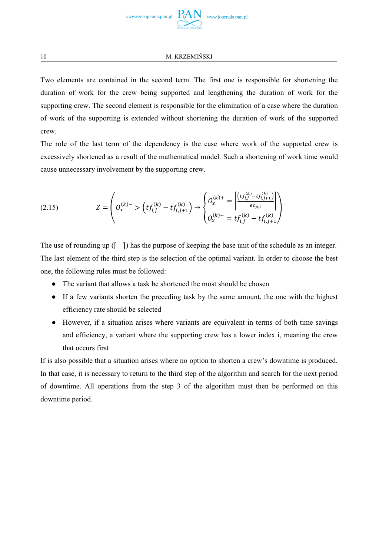Two elements are contained in the second term. The first one is responsible for shortening the duration of work for the crew being supported and lengthening the duration of work for the supporting crew. The second element is responsible for the elimination of a case where the duration of work of the supporting is extended without shortening the duration of work of the supported crew.

The role of the last term of the dependency is the case where work of the supported crew is excessively shortened as a result of the mathematical model. Such a shortening of work time would cause unnecessary involvement by the supporting crew.

$$
(2.15) \t\t Z = \begin{pmatrix} Q_x^{(k)-} > \left( t f_{i,j}^{(k)} - t f_{i,j+1}^{(k)} \right) \rightarrow \begin{cases} Q_x^{(k)+} = \frac{\left[ \left( t f_{i,j}^{(k)} - t f_{i,j+1}^{(k)} \right) \right]}{e c_{p,i}} \\ Q_x^{(k)-} = t f_{i,j}^{(k)} - t f_{i,j+1}^{(k)} \end{cases}
$$

The use of rounding up  $\begin{pmatrix} \vert & \vert \end{pmatrix}$  has the purpose of keeping the base unit of the schedule as an integer. The last element of the third step is the selection of the optimal variant. In order to choose the best one, the following rules must be followed:

- The variant that allows a task be shortened the most should be chosen
- If a few variants shorten the preceding task by the same amount, the one with the highest efficiency rate should be selected
- However, if a situation arises where variants are equivalent in terms of both time savings and efficiency, a variant where the supporting crew has a lower index i, meaning the crew that occurs first

If is also possible that a situation arises where no option to shorten a crew's downtime is produced. In that case, it is necessary to return to the third step of the algorithm and search for the next period of downtime. All operations from the step 3 of the algorithm must then be performed on this downtime period.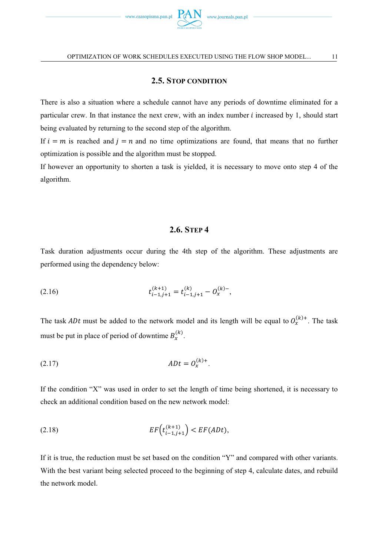

# **2.5. STOP CONDITION**

There is also a situation where a schedule cannot have any periods of downtime eliminated for a particular crew. In that instance the next crew, with an index number *i* increased by 1, should start being evaluated by returning to the second step of the algorithm.

If  $i = m$  is reached and  $j = n$  and no time optimizations are found, that means that no further optimization is possible and the algorithm must be stopped.

If however an opportunity to shorten a task is yielded, it is necessary to move onto step 4 of the algorithm.

# **2.6. STEP 4**

Task duration adjustments occur during the 4th step of the algorithm. These adjustments are performed using the dependency below:

(2.16) 
$$
t_{i-1,j+1}^{(k+1)} = t_{i-1,j+1}^{(k)} - O_x^{(k)-},
$$

The task *ADt* must be added to the network model and its length will be equal to  $O_x^{(k)+}$ . The task must be put in place of period of downtime  $B_x^{(k)}$ .

$$
(2.17) \t\t ADt = O_x^{(k)+}.
$$

If the condition "X" was used in order to set the length of time being shortened, it is necessary to check an additional condition based on the new network model:

(2.18) 
$$
EF(t_{i-1,j+1}^{(k+1)}) < EF(ADt),
$$

If it is true, the reduction must be set based on the condition "Y" and compared with other variants. With the best variant being selected proceed to the beginning of step 4, calculate dates, and rebuild the network model.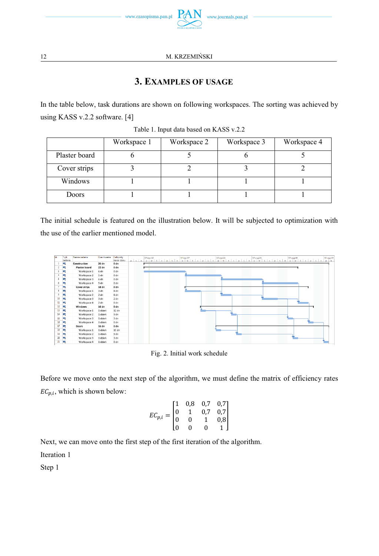

# **3. EXAMPLES OF USAGE**

In the table below, task durations are shown on following workspaces. The sorting was achieved by using KASS v.2.2 software. [4]

|               | Workspace 1 | Workspace 2 | Workspace 3 | Workspace 4 |
|---------------|-------------|-------------|-------------|-------------|
| Plaster board |             |             |             |             |
| Cover strips  |             |             |             |             |
| Windows       |             |             |             |             |
| Doors         |             |             |             |             |

Table 1. Input data based on KASS v.2.2

The initial schedule is featured on the illustration below. It will be subjected to optimization with the use of the earlier mentioned model.



Fig. 2. Initial work schedule

Before we move onto the next step of the algorithm, we must define the matrix of efficiency rates  $EC_{p,i}$ , which is shown below:

$$
EC_{p,i} = \begin{bmatrix} 1 & 0.8 & 0.7 & 0.7 \\ 0 & 1 & 0.7 & 0.7 \\ 0 & 0 & 1 & 0.8 \\ 0 & 0 & 0 & 1 \end{bmatrix}
$$

Next, we can move onto the first step of the first iteration of the algorithm.

Iteration 1

Step 1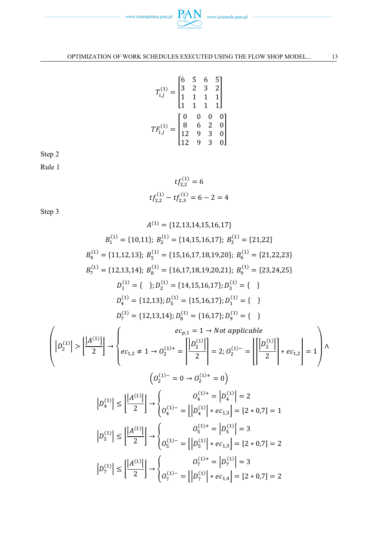

$$
T_{i,j}^{(1)} = \begin{bmatrix} 6 & 5 & 6 & 5 \\ 3 & 2 & 3 & 2 \\ 1 & 1 & 1 & 1 \\ 1 & 1 & 1 & 1 \end{bmatrix}
$$

$$
TF_{i,j}^{(1)} = \begin{bmatrix} 0 & 0 & 0 & 0 \\ 8 & 6 & 2 & 0 \\ 12 & 9 & 3 & 0 \\ 12 & 9 & 3 & 0 \end{bmatrix}
$$

Step 2

Rule 1

$$
tf_{2,2}^{(1)} = 6
$$
  

$$
tf_{2,2}^{(1)} - tf_{2,3}^{(1)} = 6 - 2 = 4
$$

Step 3

$$
A^{(1)} = \{12, 13, 14, 15, 16, 17\}
$$
\n
$$
B_1^{(1)} = \{10, 11\}; B_2^{(1)} = \{14, 15, 16, 17\}; B_3^{(1)} = \{21, 22\}
$$
\n
$$
B_4^{(1)} = \{11, 12, 13\}; B_5^{(1)} = \{15, 16, 17, 18, 19, 20\}; B_6^{(1)} = \{21, 22, 23\}
$$
\n
$$
B_7^{(1)} = \{12, 13, 14\}; B_6^{(1)} = \{16, 17, 18, 19, 20, 21\}; B_9^{(1)} = \{23, 24, 25\}
$$
\n
$$
D_4^{(1)} = \{12, 13\}; D_5^{(1)} = \{15, 16, 17\}; D_4^{(1)} = \{\}
$$
\n
$$
D_4^{(1)} = \{12, 13, 14\}; D_8^{(1)} = \{16, 17\}; D_9^{(1)} = \{\}
$$
\n
$$
D_7^{(1)} = \{12, 13, 14\}; D_8^{(1)} = \{16, 17\}; D_9^{(1)} = \{\}
$$
\n
$$
P_7^{(1)} = \{12, 13, 14\}; D_8^{(1)} = \{16, 17\}; D_9^{(1)} = \{\}
$$
\n
$$
P_7^{(1)} = \{2, 02, 17\} = \left[\frac{|D_4^{(1)}|}{2}\right] \cdot \left\{e_{C_{1,2}} \neq 1 \rightarrow O_2^{(1)+} = \left[\frac{|D_2^{(1)}|}{2}\right] = 2; O_2^{(1)-} = \left[\frac{|D_2^{(1)}|}{2}\right] \cdot \left\{e_{C_{1,2}}\right\} = 1\right\} \wedge
$$
\n
$$
D_4^{(1)} = \left|\frac{|A^{(1)}|}{2}\right| \rightarrow \left\{O_4^{(1)-} = \left|\frac{|D_4^{(1)}|}{2}\right| \cdot e_{C_{1,3}}\right\} = [2 \cdot
$$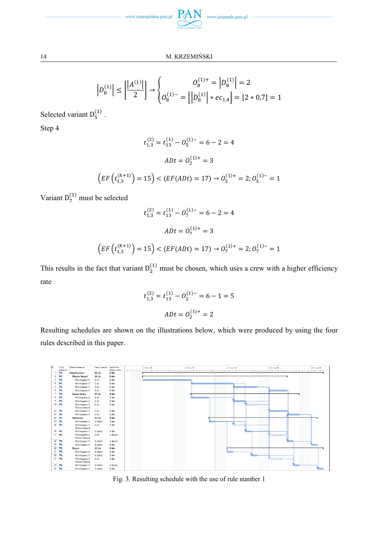

$$
\left| D_8^{(1)} \right| \le \left| \frac{|A^{(1)}|}{2} \right| \to \begin{cases} \qquad & O_8^{(1)+} = \left| D_8^{(1)} \right| = 2\\ \vdots & \vdots\\ O_8^{(1)-} = \left| \left| D_8^{(1)} \right| * e_{C_{1,4}} \right| = \left| 2 * 0.7 \right| = 1 \end{cases}
$$

Selected variant  $D_5^{(1)}$ .

Step 4

$$
t_{1,3}^{(2)} = t_{13}^{(1)} - 0_5^{(1)-} = 6 - 2 = 4
$$
  

$$
ADt = O_2^{(1)+} = 3
$$
  

$$
\left( EF \left( t_{1,3}^{(k+1)} \right) = 15 \right) < \left( EF (ADt) = 17 \right) \rightarrow O_5^{(1)+} = 2; O_5^{(1)-} = 1
$$

Variant  $D_7^{(1)}$  must be selected

$$
t_{1,3}^{(2)} = t_{13}^{(1)} - 0_7^{(1)-} = 6 - 2 = 4
$$
  

$$
ADt = 0_7^{(1)+} = 3
$$
  

$$
\left( EF \left( t_{1,3}^{(k+1)} \right) = 15 \right) < \left( EF (ADt) = 17 \right) \rightarrow 0_7^{(1)+} = 2; 0_7^{(1)-} = 1
$$

This results in the fact that variant  $D_2^{(1)}$  must be chosen, which uses a crew with a higher efficiency rate

$$
t_{1,3}^{(2)} = t_{13}^{(1)} - 0_{2}^{(1)-} = 6 - 1 = 5
$$

$$
ADt = 0_{2}^{(1)+} = 2
$$

Resulting schedules are shown on the illustrations below, which were produced by using the four rules described in this paper.



Fig. 3. Resulting schedule with the use of rule number 1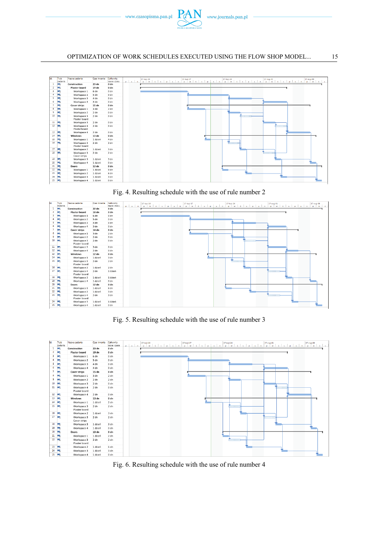



Fig. 4. Resulting schedule with the use of rule number 2



Fig. 5. Resulting schedule with the use of rule number 3

| ta.            | Tryb<br>zadania | Nazwa zadania                | Czas trwania     | Calkowity<br>zapas czasu | $n \mid s \mid n$ | 17-kmi-10 | $p \mid w \mid s \mid c \mid p \mid s$ | $\mathbf{a}$ |  |       | $\frac{17 \cdot \text{maj-08}}{p}$ $\mid$ s $\mid$ c |
|----------------|-----------------|------------------------------|------------------|--------------------------|-------------------|-----------|----------------------------------------|--------------|--|-------|------------------------------------------------------|
| 1              | в               | Construction                 | 23 <sub>dn</sub> | 0 dn                     |                   |           |                                        |              |  |       |                                                      |
| $\overline{2}$ | ы               | <b>Plaster board</b>         | 19 <sub>dn</sub> | 0 <sub>dn</sub>          |                   |           |                                        |              |  |       |                                                      |
| з              | в               | Workspace 1                  | 6 dn             | 0 <sub>dn</sub>          |                   |           |                                        |              |  |       |                                                      |
| 4              | ы               | Workspace 2                  | 5 dn             | 0 dn                     |                   |           |                                        |              |  |       |                                                      |
| 5              | ∍               | Workspace 3                  | 4 <sub>dn</sub>  | 0 <sub>dn</sub>          |                   |           |                                        |              |  |       |                                                      |
| 6              | ь.              | Workspace 4                  | 4 dn             | $0 \,$ dn                |                   |           |                                        |              |  |       |                                                      |
| 7              |                 | Cover strips                 | 15 <sub>dn</sub> | 0 <sub>dn</sub>          |                   |           |                                        |              |  |       |                                                      |
| 8              | ь.              | Workspace 1                  | 3 dn             | 2 dn                     |                   |           |                                        |              |  |       |                                                      |
| 9              | ▬               | Workspace 2                  | $2$ dn           | 2 dn                     |                   |           |                                        |              |  |       |                                                      |
| 10             | ь.              | Workspace 3                  | $2$ dn           | $0 \,$ dn                |                   |           |                                        |              |  |       |                                                      |
| 11             | ×               | Workspace 4<br>Plaster board | $2$ dn           | 0 <sub>dn</sub>          |                   |           |                                        |              |  | immun |                                                      |
|                | $12 - m0$       | Workspace 4                  | $2$ dn           | 0 dn                     |                   |           |                                        |              |  |       |                                                      |
| 13             | ∍               | <b>Windows</b>               | 13 <sub>dn</sub> | 0 <sub>dn</sub>          |                   |           |                                        |              |  |       |                                                      |
| 14             | ×.              | Workspace 1                  | 1 dzień          | 2 dn                     |                   |           |                                        |              |  |       |                                                      |
|                | $15 - 22$       | Workspace 3<br>Plaster board | 2 <sub>dn</sub>  | 2 <sub>dn</sub>          |                   |           |                                        |              |  |       |                                                      |
|                | $16 - m_3$      | Workspace 2                  | 1 dzień          | 3 dn                     |                   |           |                                        |              |  |       |                                                      |
|                | $17 - 12$       | Workspace 3<br>Cover strips  | $2$ dn           | 2 <sub>dn</sub>          |                   |           |                                        |              |  |       |                                                      |
|                | 18              | Workspace 3                  | 1 dzień          | $3 \, dn$                |                   |           |                                        |              |  |       |                                                      |
| 19             | в               | Workspace 4                  | 1 dzień          | 0 <sub>dn</sub>          |                   |           |                                        |              |  |       |                                                      |
| 20             | ь               | Doors                        | 13 <sub>dn</sub> | 0 <sub>dn</sub>          |                   |           |                                        |              |  |       |                                                      |
| 21             | ь               | Workspace 1                  | 1 dzień          | 2 <sub>dn</sub>          |                   |           |                                        |              |  |       |                                                      |
|                | $22 =$          | Workspace 3<br>Plaster board | $2$ dn           | 2 dn                     |                   |           |                                        |              |  |       |                                                      |
|                | 23              | Workspace 2                  | 1 dzień          | 6 dn                     |                   |           |                                        |              |  |       |                                                      |
| 24             | ×               | Workspace 3                  | 1 dzień          | $3 \, dn$                |                   |           |                                        |              |  |       |                                                      |
|                | 25              | Workspace 4                  | 1 dzień          | 0 <sub>dn</sub>          |                   |           |                                        |              |  |       |                                                      |

Fig. 6. Resulting schedule with the use of rule number 4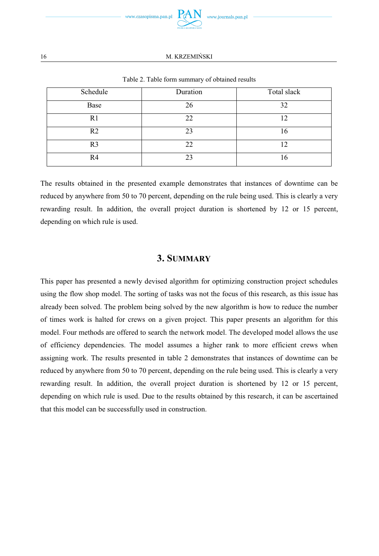

| Schedule       | Duration | Total slack |
|----------------|----------|-------------|
| Base           | 26       | 32          |
| R1             | 22       | 12          |
| R <sub>2</sub> | 23       | 16          |
| R <sub>3</sub> | 22       | 0           |
| R4             | 23       | 16          |

Table 2. Table form summary of obtained results

The results obtained in the presented example demonstrates that instances of downtime can be reduced by anywhere from 50 to 70 percent, depending on the rule being used. This is clearly a very rewarding result. In addition, the overall project duration is shortened by 12 or 15 percent, depending on which rule is used.

# **3. SUMMARY**

This paper has presented a newly devised algorithm for optimizing construction project schedules using the flow shop model. The sorting of tasks was not the focus of this research, as this issue has already been solved. The problem being solved by the new algorithm is how to reduce the number of times work is halted for crews on a given project. This paper presents an algorithm for this model. Four methods are offered to search the network model. The developed model allows the use of efficiency dependencies. The model assumes a higher rank to more efficient crews when assigning work. The results presented in table 2 demonstrates that instances of downtime can be reduced by anywhere from 50 to 70 percent, depending on the rule being used. This is clearly a very rewarding result. In addition, the overall project duration is shortened by 12 or 15 percent, depending on which rule is used. Due to the results obtained by this research, it can be ascertained that this model can be successfully used in construction.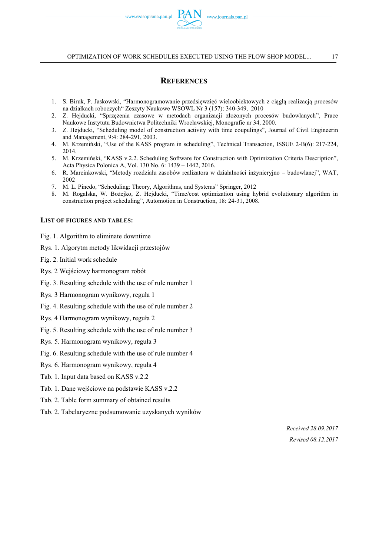### **REFERENCES**

- 1. S. Biruk, P. Jaskowski, "Harmonogramowanie przedsięwzięć wieloobiektowych z ciągłą realizacją procesów na działkach roboczych" Zeszyty Naukowe WSOWL Nr 3 (157): 340-349, 2010
- 2. Z. Hejducki, "Sprzężenia czasowe w metodach organizacji złożonych procesów budowlanych", Prace Naukowe Instytutu Budownictwa Politechniki Wrocławskiej, Monografie nr 34, 2000.
- 3. Z. Hejducki, "Scheduling model of construction activity with time coupulings", Journal of Civil Engineerin and Management, 9:4: 284-291, 2003.
- 4. M. Krzemiński, "Use of the KASS program in scheduling", Technical Transaction, ISSUE 2-B(6): 217-224, 2014.
- 5. M. Krzemiński, "KASS v.2.2. Scheduling Software for Construction with Optimization Criteria Description", Acta Physica Polonica A, Vol. 130 No. 6: 1439 – 1442, 2016.
- 6. R. Marcinkowski, "Metody rozdziału zasobów realizatora w działalności inżynieryjno budowlanej", WAT, 2002
- 7. M. L. Pinedo, "Scheduling: Theory, Algorithms, and Systems" Springer, 2012
- 8. M. Rogalska, W. Bożejko, Z. Hejducki, "Time/cost optimization using hybrid evolutionary algorithm in construction project scheduling", Automotion in Construction, 18: 24-31, 2008.

#### **LIST OF FIGURES AND TABLES:**

- Fig. 1. Algorithm to eliminate downtime
- Rys. 1. Algorytm metody likwidacji przestojów
- Fig. 2. Initial work schedule
- Rys. 2 Wejściowy harmonogram robót
- Fig. 3. Resulting schedule with the use of rule number 1
- Rys. 3 Harmonogram wynikowy, reguła 1
- Fig. 4. Resulting schedule with the use of rule number 2
- Rys. 4 Harmonogram wynikowy, reguła 2
- Fig. 5. Resulting schedule with the use of rule number 3
- Rys. 5. Harmonogram wynikowy, reguła 3
- Fig. 6. Resulting schedule with the use of rule number 4
- Rys. 6. Harmonogram wynikowy, reguła 4
- Tab. 1. Input data based on KASS v.2.2
- Tab. 1. Dane wejściowe na podstawie KASS v.2.2
- Tab. 2. Table form summary of obtained results
- Tab. 2. Tabelaryczne podsumowanie uzyskanych wyników

*Received 28.09.2017 Revised 08.12.2017*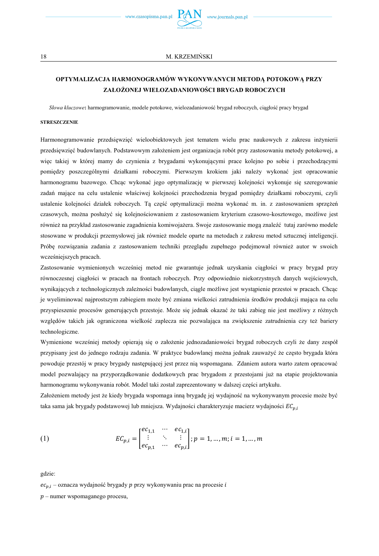

# **OPTYMALIZACJA HARMONOGRAMÓW WYKONYWANYCH METODĄ POTOKOWĄ PRZY ZAŁOŻONEJ WIELOZADANIOWOŚCI BRYGAD ROBOCZYCH**

*Słowa kluczowe***:** harmogramowanie, modele potokowe, wielozadaniowość brygad roboczych, ciągłość pracy brygad

#### **STRESZCZENIE**

Harmonogramowanie przedsięwzięć wieloobiektowych jest tematem wielu prac naukowych z zakresu inżynierii przedsięwzięć budowlanych. Podstawowym założeniem jest organizacja robót przy zastosowaniu metody potokowej, a więc takiej w której mamy do czynienia z brygadami wykonującymi prace kolejno po sobie i przechodzącymi pomiędzy poszczególnymi działkami roboczymi. Pierwszym krokiem jaki należy wykonać jest opracowanie harmonogramu bazowego. Chcąc wykonać jego optymalizację w pierwszej kolejności wykonuje się szeregowanie zadań mające na celu ustalenie właściwej kolejności przechodzenia brygad pomiędzy działkami roboczymi, czyli ustalenie kolejności działek roboczych. Tą część optymalizacji można wykonać m. in. z zastosowaniem sprzężeń czasowych, można posłużyć się kolejnościowaniem z zastosowaniem kryterium czasowo-kosztowego, możliwe jest również na przykład zastosowanie zagadnienia komiwojażera. Swoje zastosowanie mogą znaleźć tutaj zarówno modele stosowane w produkcji przemysłowej jak również modele oparte na metodach z zakresu metod sztucznej inteligencji. Próbę rozwiązania zadania z zastosowaniem techniki przeglądu zupełnego podejmował również autor w swoich wcześniejszych pracach.

Zastosowanie wymienionych wcześniej metod nie gwarantuje jednak uzyskania ciągłości w pracy brygad przy równoczesnej ciągłości w pracach na frontach roboczych. Przy odpowiednio niekorzystnych danych wejściowych, wynikających z technologicznych zależności budowlanych, ciągle możliwe jest wystąpienie przestoi w pracach. Chcąc je wyeliminować najprostszym zabiegiem może być zmiana wielkości zatrudnienia środków produkcji mająca na celu przyspieszenie procesów generujących przestoje. Może się jednak okazać że taki zabieg nie jest możliwy z różnych względów takich jak ograniczona wielkość zaplecza nie pozwalająca na zwiększenie zatrudnienia czy też bariery technologiczne.

Wymienione wcześniej metody opierają się o założenie jednozadaniowości brygad roboczych czyli że dany zespół przypisany jest do jednego rodzaju zadania. W praktyce budowlanej można jednak zauważyć że często brygada która powoduje przestój w pracy brygady następującej jest przez nią wspomagana. Zdaniem autora warto zatem opracować model pozwalający na przyporządkowanie dodatkowych prac brygadom z przestojami już na etapie projektowania harmonogramu wykonywania robót. Model taki został zaprezentowany w dalszej części artykułu.

Założeniem metody jest że kiedy brygada wspomaga inną brygadę jej wydajność na wykonywanym procesie może być taka sama jak brygady podstawowej lub mniejsza. Wydajności charakteryzuje macierz wydajności  $EC_{ni}$ 

(1) 
$$
EC_{p,i} = \begin{bmatrix} ec_{1,1} & \cdots & ec_{1,i} \\ \vdots & \ddots & \vdots \\ ec_{p,1} & \cdots & ec_{p,i} \end{bmatrix}; p = 1, ..., m; i = 1, ..., m
$$

gdzie:

 $ec_{ni}$  – oznacza wydajność brygady p przy wykonywaniu prac na procesie i

 $p$  – numer wspomaganego procesu,